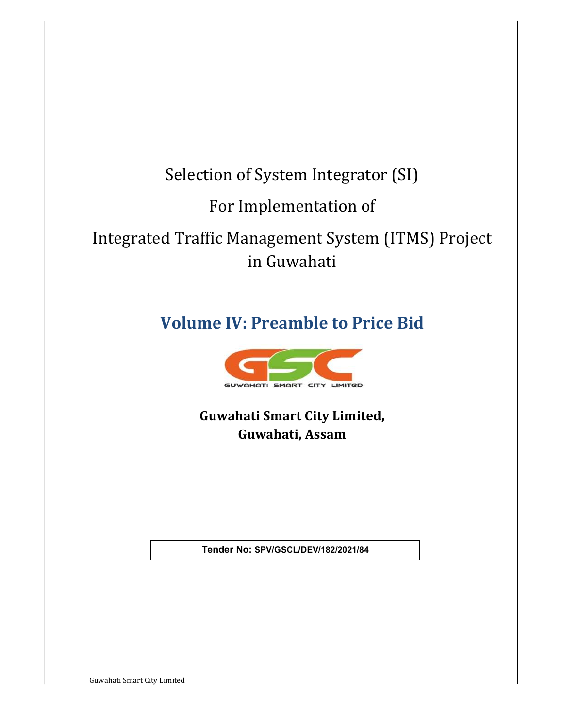# Selection of System Integrator (SI)

For Implementation of

# Integrated Traffic Management System (ITMS) Project in Guwahati

## Volume IV: Preamble to Price Bid



Guwahati Smart City Limited, Guwahati, Assam

Tender No: SPV/GSCL/DEV/182/2021/84

Guwahati Smart City Limited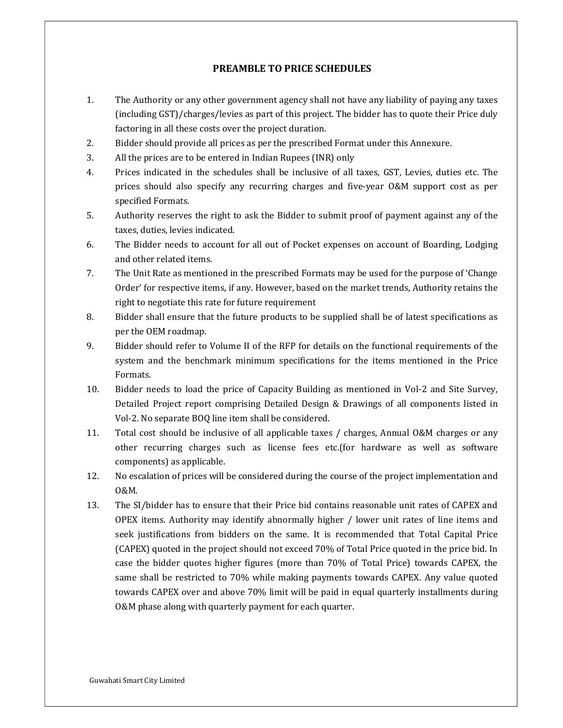### PREAMBLE TO PRICE SCHEDULES

- 1. The Authority or any other government agency shall not have any liability of paying any taxes (including GST)/charges/levies as part of this project. The bidder has to quote their Price duly factoring in all these costs over the project duration.
- 2. Bidder should provide all prices as per the prescribed Format under this Annexure.
- 3. All the prices are to be entered in Indian Rupees (INR) only
- 4. Prices indicated in the schedules shall be inclusive of all taxes, GST, Levies, duties etc. The prices should also specify any recurring charges and five-year O&M support cost as per specified Formats.
- 5. Authority reserves the right to ask the Bidder to submit proof of payment against any of the taxes, duties, levies indicated.
- 6. The Bidder needs to account for all out of Pocket expenses on account of Boarding, Lodging and other related items.
- 7. The Unit Rate as mentioned in the prescribed Formats may be used for the purpose of 'Change Order' for respective items, if any. However, based on the market trends, Authority retains the right to negotiate this rate for future requirement
- 8. Bidder shall ensure that the future products to be supplied shall be of latest specifications as per the OEM roadmap.
- 9. Bidder should refer to Volume II of the RFP for details on the functional requirements of the system and the benchmark minimum specifications for the items mentioned in the Price Formats.
- 10. Bidder needs to load the price of Capacity Building as mentioned in Vol-2 and Site Survey, Detailed Project report comprising Detailed Design & Drawings of all components listed in Vol-2. No separate BOQ line item shall be considered.
- 11. Total cost should be inclusive of all applicable taxes / charges, Annual O&M charges or any other recurring charges such as license fees etc.(for hardware as well as software components) as applicable.
- 12. No escalation of prices will be considered during the course of the project implementation and O&M.
- 13. The SI/bidder has to ensure that their Price bid contains reasonable unit rates of CAPEX and OPEX items. Authority may identify abnormally higher / lower unit rates of line items and seek justifications from bidders on the same. It is recommended that Total Capital Price (CAPEX) quoted in the project should not exceed 70% of Total Price quoted in the price bid. In case the bidder quotes higher figures (more than 70% of Total Price) towards CAPEX, the same shall be restricted to 70% while making payments towards CAPEX. Any value quoted towards CAPEX over and above 70% limit will be paid in equal quarterly installments during O&M phase along with quarterly payment for each quarter.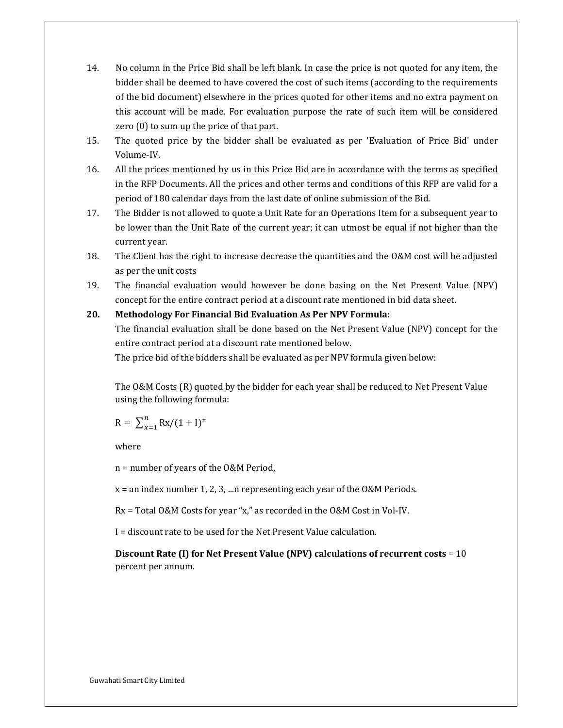- 14. No column in the Price Bid shall be left blank. In case the price is not quoted for any item, the bidder shall be deemed to have covered the cost of such items (according to the requirements of the bid document) elsewhere in the prices quoted for other items and no extra payment on this account will be made. For evaluation purpose the rate of such item will be considered zero (0) to sum up the price of that part.
- 15. The quoted price by the bidder shall be evaluated as per 'Evaluation of Price Bid' under Volume-IV.
- 16. All the prices mentioned by us in this Price Bid are in accordance with the terms as specified in the RFP Documents. All the prices and other terms and conditions of this RFP are valid for a period of 180 calendar days from the last date of online submission of the Bid.
- 17. The Bidder is not allowed to quote a Unit Rate for an Operations Item for a subsequent year to be lower than the Unit Rate of the current year; it can utmost be equal if not higher than the current year.
- 18. The Client has the right to increase decrease the quantities and the O&M cost will be adjusted as per the unit costs
- 19. The financial evaluation would however be done basing on the Net Present Value (NPV) concept for the entire contract period at a discount rate mentioned in bid data sheet.

#### 20. Methodology For Financial Bid Evaluation As Per NPV Formula:

The financial evaluation shall be done based on the Net Present Value (NPV) concept for the entire contract period at a discount rate mentioned below.

The price bid of the bidders shall be evaluated as per NPV formula given below:

The O&M Costs (R) quoted by the bidder for each year shall be reduced to Net Present Value using the following formula:

$$
R = \sum_{x=1}^{n} Rx/(1+I)^{x}
$$

where

n = number of years of the O&M Period,

 $x =$  an index number 1, 2, 3, ...n representing each year of the O&M Periods.

Rx = Total O&M Costs for year "x," as recorded in the O&M Cost in Vol-IV.

I = discount rate to be used for the Net Present Value calculation.

Discount Rate (I) for Net Present Value (NPV) calculations of recurrent costs = 10 percent per annum.